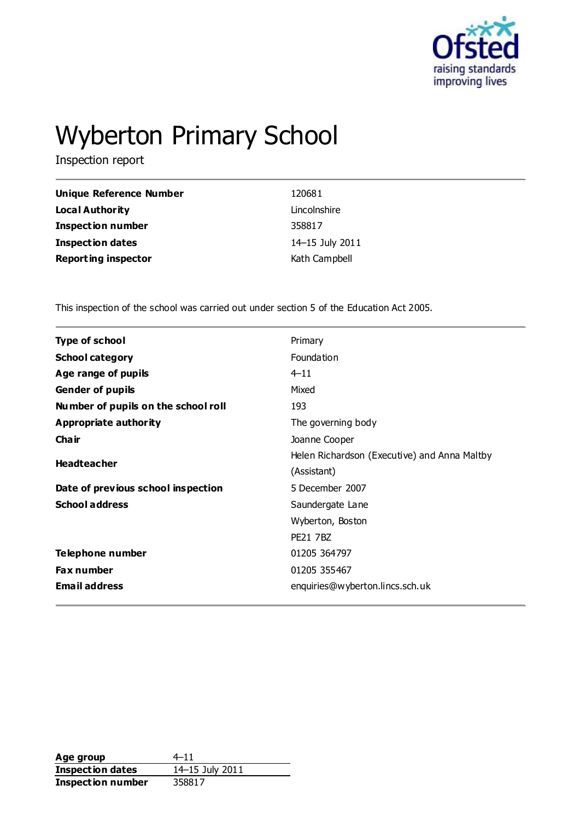

# Wyberton Primary School

Inspection report

| Unique Reference Number    | 120681          |
|----------------------------|-----------------|
| <b>Local Authority</b>     | Lincolnshire    |
| <b>Inspection number</b>   | 358817          |
| <b>Inspection dates</b>    | 14-15 July 2011 |
| <b>Reporting inspector</b> | Kath Campbell   |

This inspection of the school was carried out under section 5 of the Education Act 2005.

| <b>Type of school</b>               | Primary                                      |
|-------------------------------------|----------------------------------------------|
| <b>School category</b>              | Foundation                                   |
| Age range of pupils                 | $4 - 11$                                     |
| <b>Gender of pupils</b>             | Mixed                                        |
| Number of pupils on the school roll | 193                                          |
| Appropriate authority               | The governing body                           |
| Cha ir                              | Joanne Cooper                                |
|                                     | Helen Richardson (Executive) and Anna Maltby |
| <b>Headteacher</b>                  | (Assistant)                                  |
| Date of previous school inspection  | 5 December 2007                              |
| <b>School address</b>               | Saundergate Lane                             |
|                                     | Wyberton, Boston                             |
|                                     | <b>PE21 7BZ</b>                              |
| <b>Telephone number</b>             | 01205 364797                                 |
| <b>Fax number</b>                   | 01205 355467                                 |
| <b>Email address</b>                | enquiries@wyberton.lincs.sch.uk              |
|                                     |                                              |

Age group 4–11 **Inspection dates** 14–15 July 2011 **Inspection number** 358817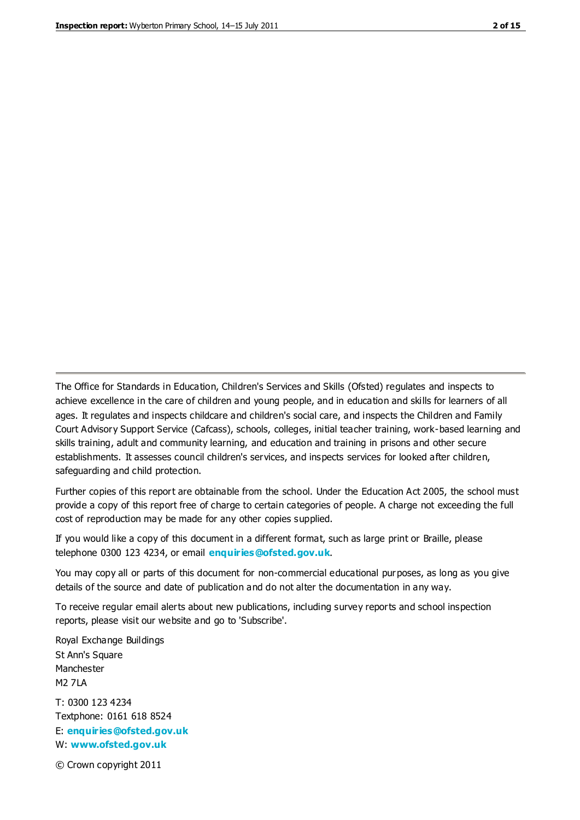The Office for Standards in Education, Children's Services and Skills (Ofsted) regulates and inspects to achieve excellence in the care of children and young people, and in education and skills for learners of all ages. It regulates and inspects childcare and children's social care, and inspects the Children and Family Court Advisory Support Service (Cafcass), schools, colleges, initial teacher training, work-based learning and skills training, adult and community learning, and education and training in prisons and other secure establishments. It assesses council children's services, and inspects services for looked after children, safeguarding and child protection.

Further copies of this report are obtainable from the school. Under the Education Act 2005, the school must provide a copy of this report free of charge to certain categories of people. A charge not exceeding the full cost of reproduction may be made for any other copies supplied.

If you would like a copy of this document in a different format, such as large print or Braille, please telephone 0300 123 4234, or email **[enquiries@ofsted.gov.uk](mailto:enquiries@ofsted.gov.uk)**.

You may copy all or parts of this document for non-commercial educational purposes, as long as you give details of the source and date of publication and do not alter the documentation in any way.

To receive regular email alerts about new publications, including survey reports and school inspection reports, please visit our website and go to 'Subscribe'.

Royal Exchange Buildings St Ann's Square Manchester M2 7LA T: 0300 123 4234 Textphone: 0161 618 8524 E: **[enquiries@ofsted.gov.uk](mailto:enquiries@ofsted.gov.uk)**

W: **[www.ofsted.gov.uk](http://www.ofsted.gov.uk/)**

© Crown copyright 2011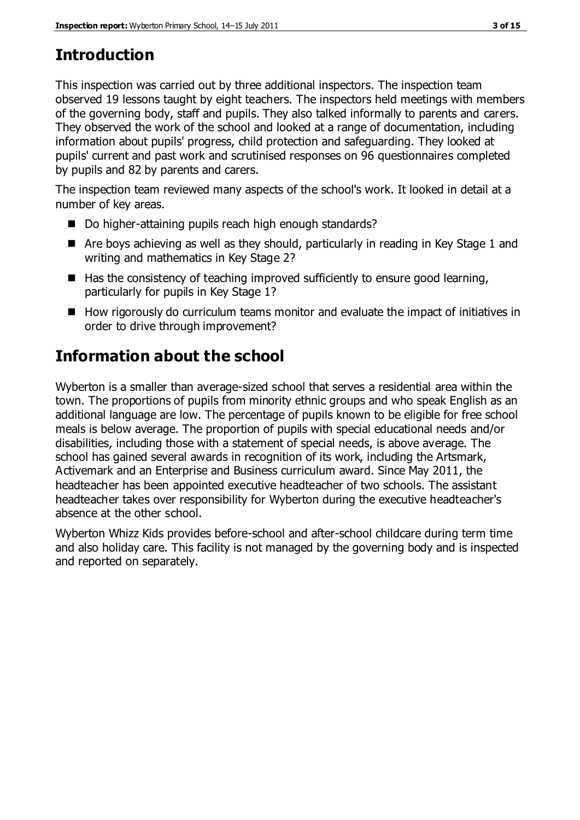# **Introduction**

This inspection was carried out by three additional inspectors. The inspection team observed 19 lessons taught by eight teachers. The inspectors held meetings with members of the governing body, staff and pupils. They also talked informally to parents and carers. They observed the work of the school and looked at a range of documentation, including information about pupils' progress, child protection and safeguarding. They looked at pupils' current and past work and scrutinised responses on 96 questionnaires completed by pupils and 82 by parents and carers.

The inspection team reviewed many aspects of the school's work. It looked in detail at a number of key areas.

- Do higher-attaining pupils reach high enough standards?
- Are boys achieving as well as they should, particularly in reading in Key Stage 1 and writing and mathematics in Key Stage 2?
- $\blacksquare$  Has the consistency of teaching improved sufficiently to ensure good learning, particularly for pupils in Key Stage 1?
- How rigorously do curriculum teams monitor and evaluate the impact of initiatives in order to drive through improvement?

# **Information about the school**

Wyberton is a smaller than average-sized school that serves a residential area within the town. The proportions of pupils from minority ethnic groups and who speak English as an additional language are low. The percentage of pupils known to be eligible for free school meals is below average. The proportion of pupils with special educational needs and/or disabilities, including those with a statement of special needs, is above average. The school has gained several awards in recognition of its work, including the Artsmark, Activemark and an Enterprise and Business curriculum award. Since May 2011, the headteacher has been appointed executive headteacher of two schools. The assistant headteacher takes over responsibility for Wyberton during the executive headteacher's absence at the other school.

Wyberton Whizz Kids provides before-school and after-school childcare during term time and also holiday care. This facility is not managed by the governing body and is inspected and reported on separately.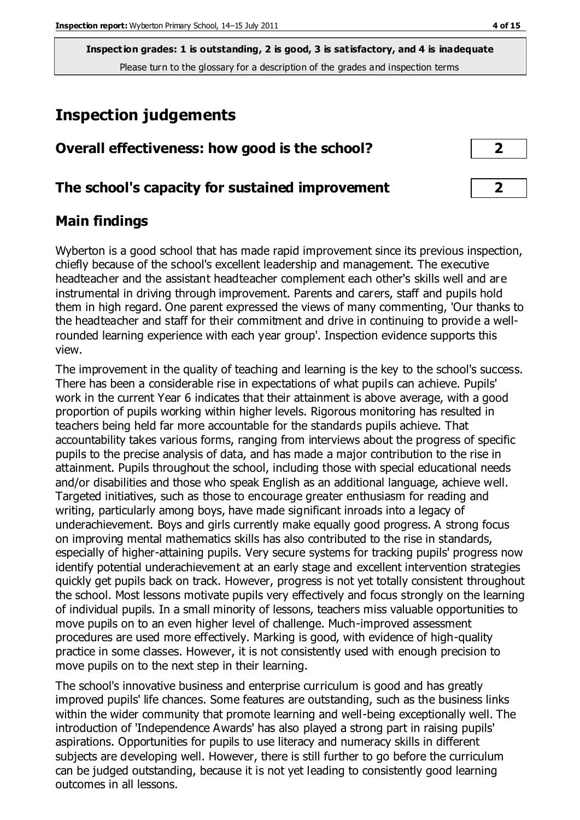## **Inspection judgements**

| Overall effectiveness: how good is the school?  |  |
|-------------------------------------------------|--|
| The school's capacity for sustained improvement |  |

#### **Main findings**

Wyberton is a good school that has made rapid improvement since its previous inspection, chiefly because of the school's excellent leadership and management. The executive headteacher and the assistant headteacher complement each other's skills well and are instrumental in driving through improvement. Parents and carers, staff and pupils hold them in high regard. One parent expressed the views of many commenting, 'Our thanks to the headteacher and staff for their commitment and drive in continuing to provide a wellrounded learning experience with each year group'. Inspection evidence supports this view.

The improvement in the quality of teaching and learning is the key to the school's success. There has been a considerable rise in expectations of what pupils can achieve. Pupils' work in the current Year 6 indicates that their attainment is above average, with a good proportion of pupils working within higher levels. Rigorous monitoring has resulted in teachers being held far more accountable for the standards pupils achieve. That accountability takes various forms, ranging from interviews about the progress of specific pupils to the precise analysis of data, and has made a major contribution to the rise in attainment. Pupils throughout the school, including those with special educational needs and/or disabilities and those who speak English as an additional language, achieve well. Targeted initiatives, such as those to encourage greater enthusiasm for reading and writing, particularly among boys, have made significant inroads into a legacy of underachievement. Boys and girls currently make equally good progress. A strong focus on improving mental mathematics skills has also contributed to the rise in standards, especially of higher-attaining pupils. Very secure systems for tracking pupils' progress now identify potential underachievement at an early stage and excellent intervention strategies quickly get pupils back on track. However, progress is not yet totally consistent throughout the school. Most lessons motivate pupils very effectively and focus strongly on the learning of individual pupils. In a small minority of lessons, teachers miss valuable opportunities to move pupils on to an even higher level of challenge. Much-improved assessment procedures are used more effectively. Marking is good, with evidence of high-quality practice in some classes. However, it is not consistently used with enough precision to move pupils on to the next step in their learning.

The school's innovative business and enterprise curriculum is good and has greatly improved pupils' life chances. Some features are outstanding, such as the business links within the wider community that promote learning and well-being exceptionally well. The introduction of 'Independence Awards' has also played a strong part in raising pupils' aspirations. Opportunities for pupils to use literacy and numeracy skills in different subjects are developing well. However, there is still further to go before the curriculum can be judged outstanding, because it is not yet leading to consistently good learning outcomes in all lessons.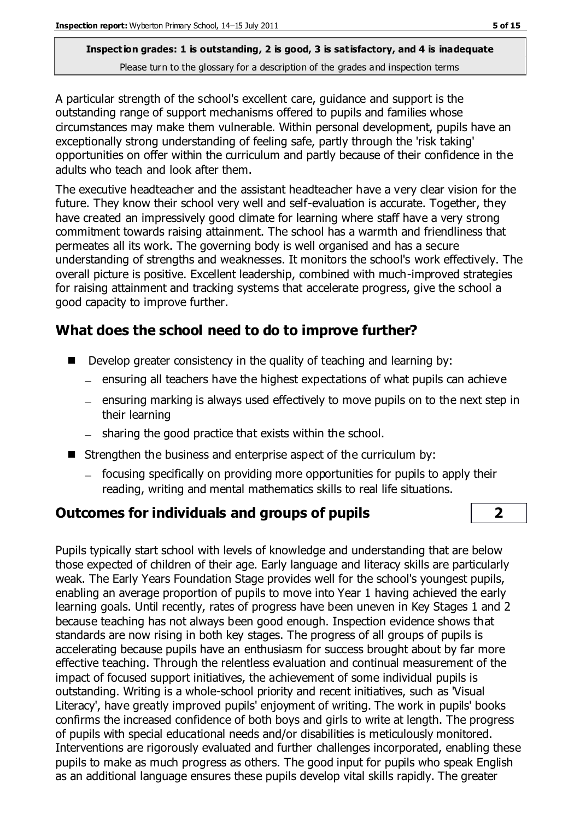A particular strength of the school's excellent care, guidance and support is the outstanding range of support mechanisms offered to pupils and families whose circumstances may make them vulnerable. Within personal development, pupils have an exceptionally strong understanding of feeling safe, partly through the 'risk taking' opportunities on offer within the curriculum and partly because of their confidence in the adults who teach and look after them.

The executive headteacher and the assistant headteacher have a very clear vision for the future. They know their school very well and self-evaluation is accurate. Together, they have created an impressively good climate for learning where staff have a very strong commitment towards raising attainment. The school has a warmth and friendliness that permeates all its work. The governing body is well organised and has a secure understanding of strengths and weaknesses. It monitors the school's work effectively. The overall picture is positive. Excellent leadership, combined with much-improved strategies for raising attainment and tracking systems that accelerate progress, give the school a good capacity to improve further.

### **What does the school need to do to improve further?**

- Develop greater consistency in the quality of teaching and learning by:
	- $-$  ensuring all teachers have the highest expectations of what pupils can achieve
	- ensuring marking is always used effectively to move pupils on to the next step in their learning
	- $-$  sharing the good practice that exists within the school.
- Strengthen the business and enterprise aspect of the curriculum by:
	- focusing specifically on providing more opportunities for pupils to apply their reading, writing and mental mathematics skills to real life situations.

#### **Outcomes for individuals and groups of pupils 2**

Pupils typically start school with levels of knowledge and understanding that are below those expected of children of their age. Early language and literacy skills are particularly weak. The Early Years Foundation Stage provides well for the school's youngest pupils, enabling an average proportion of pupils to move into Year 1 having achieved the early learning goals. Until recently, rates of progress have been uneven in Key Stages 1 and 2 because teaching has not always been good enough. Inspection evidence shows that standards are now rising in both key stages. The progress of all groups of pupils is accelerating because pupils have an enthusiasm for success brought about by far more effective teaching. Through the relentless evaluation and continual measurement of the impact of focused support initiatives, the achievement of some individual pupils is outstanding. Writing is a whole-school priority and recent initiatives, such as 'Visual Literacy', have greatly improved pupils' enjoyment of writing. The work in pupils' books confirms the increased confidence of both boys and girls to write at length. The progress of pupils with special educational needs and/or disabilities is meticulously monitored. Interventions are rigorously evaluated and further challenges incorporated, enabling these pupils to make as much progress as others. The good input for pupils who speak English as an additional language ensures these pupils develop vital skills rapidly. The greater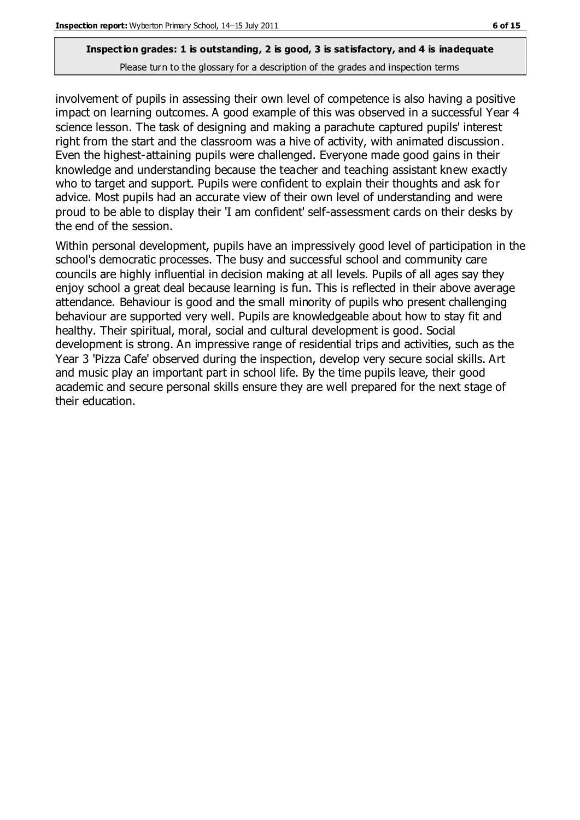involvement of pupils in assessing their own level of competence is also having a positive impact on learning outcomes. A good example of this was observed in a successful Year 4 science lesson. The task of designing and making a parachute captured pupils' interest right from the start and the classroom was a hive of activity, with animated discussion. Even the highest-attaining pupils were challenged. Everyone made good gains in their knowledge and understanding because the teacher and teaching assistant knew exactly who to target and support. Pupils were confident to explain their thoughts and ask for advice. Most pupils had an accurate view of their own level of understanding and were proud to be able to display their 'I am confident' self-assessment cards on their desks by the end of the session.

Within personal development, pupils have an impressively good level of participation in the school's democratic processes. The busy and successful school and community care councils are highly influential in decision making at all levels. Pupils of all ages say they enjoy school a great deal because learning is fun. This is reflected in their above average attendance. Behaviour is good and the small minority of pupils who present challenging behaviour are supported very well. Pupils are knowledgeable about how to stay fit and healthy. Their spiritual, moral, social and cultural development is good. Social development is strong. An impressive range of residential trips and activities, such as the Year 3 'Pizza Cafe' observed during the inspection, develop very secure social skills. Art and music play an important part in school life. By the time pupils leave, their good academic and secure personal skills ensure they are well prepared for the next stage of their education.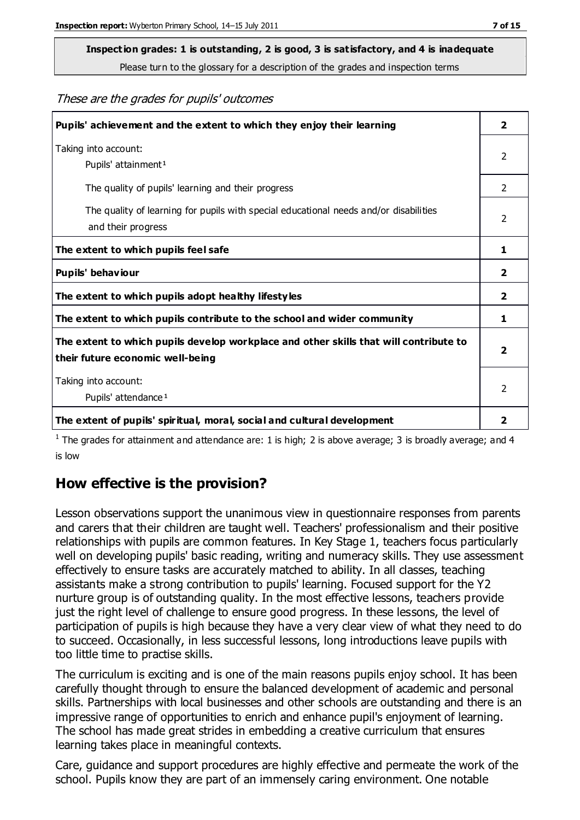# **Inspection grades: 1 is outstanding, 2 is good, 3 is satisfactory, and 4 is inadequate**

Please turn to the glossary for a description of the grades and inspection terms

These are the grades for pupils' outcomes

| Pupils' achievement and the extent to which they enjoy their learning                                                     | $\overline{2}$ |
|---------------------------------------------------------------------------------------------------------------------------|----------------|
| Taking into account:<br>Pupils' attainment <sup>1</sup>                                                                   | 2              |
| The quality of pupils' learning and their progress                                                                        | $\mathcal{P}$  |
| The quality of learning for pupils with special educational needs and/or disabilities<br>and their progress               | $\overline{2}$ |
| The extent to which pupils feel safe                                                                                      | 1              |
| Pupils' behaviour                                                                                                         | 2              |
| The extent to which pupils adopt healthy lifestyles                                                                       | 2              |
| The extent to which pupils contribute to the school and wider community                                                   | 1              |
| The extent to which pupils develop workplace and other skills that will contribute to<br>their future economic well-being |                |
| Taking into account:<br>Pupils' attendance <sup>1</sup>                                                                   |                |
| The extent of pupils' spiritual, moral, social and cultural development                                                   | 2              |

<sup>1</sup> The grades for attainment and attendance are: 1 is high; 2 is above average; 3 is broadly average; and 4 is low

#### **How effective is the provision?**

Lesson observations support the unanimous view in questionnaire responses from parents and carers that their children are taught well. Teachers' professionalism and their positive relationships with pupils are common features. In Key Stage 1, teachers focus particularly well on developing pupils' basic reading, writing and numeracy skills. They use assessment effectively to ensure tasks are accurately matched to ability. In all classes, teaching assistants make a strong contribution to pupils' learning. Focused support for the Y2 nurture group is of outstanding quality. In the most effective lessons, teachers provide just the right level of challenge to ensure good progress. In these lessons, the level of participation of pupils is high because they have a very clear view of what they need to do to succeed. Occasionally, in less successful lessons, long introductions leave pupils with too little time to practise skills.

The curriculum is exciting and is one of the main reasons pupils enjoy school. It has been carefully thought through to ensure the balanced development of academic and personal skills. Partnerships with local businesses and other schools are outstanding and there is an impressive range of opportunities to enrich and enhance pupil's enjoyment of learning. The school has made great strides in embedding a creative curriculum that ensures learning takes place in meaningful contexts.

Care, guidance and support procedures are highly effective and permeate the work of the school. Pupils know they are part of an immensely caring environment. One notable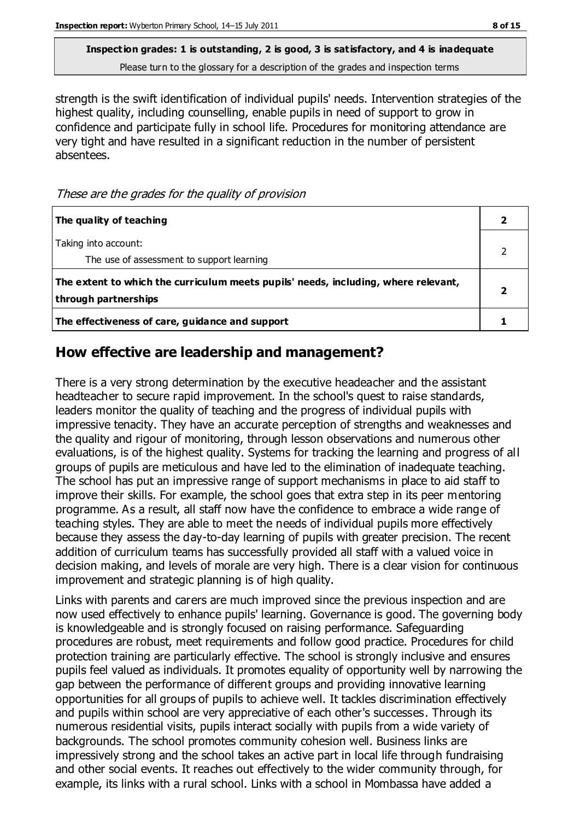# **Inspection grades: 1 is outstanding, 2 is good, 3 is satisfactory, and 4 is inadequate**

Please turn to the glossary for a description of the grades and inspection terms

strength is the swift identification of individual pupils' needs. Intervention strategies of the highest quality, including counselling, enable pupils in need of support to grow in confidence and participate fully in school life. Procedures for monitoring attendance are very tight and have resulted in a significant reduction in the number of persistent absentees.

These are the grades for the quality of provision

| The quality of teaching                                                                                    |  |
|------------------------------------------------------------------------------------------------------------|--|
| Taking into account:<br>The use of assessment to support learning                                          |  |
| The extent to which the curriculum meets pupils' needs, including, where relevant,<br>through partnerships |  |
| The effectiveness of care, guidance and support                                                            |  |

#### **How effective are leadership and management?**

There is a very strong determination by the executive headeacher and the assistant headteacher to secure rapid improvement. In the school's quest to raise standards, leaders monitor the quality of teaching and the progress of individual pupils with impressive tenacity. They have an accurate perception of strengths and weaknesses and the quality and rigour of monitoring, through lesson observations and numerous other evaluations, is of the highest quality. Systems for tracking the learning and progress of all groups of pupils are meticulous and have led to the elimination of inadequate teaching. The school has put an impressive range of support mechanisms in place to aid staff to improve their skills. For example, the school goes that extra step in its peer mentoring programme. As a result, all staff now have the confidence to embrace a wide range of teaching styles. They are able to meet the needs of individual pupils more effectively because they assess the day-to-day learning of pupils with greater precision. The recent addition of curriculum teams has successfully provided all staff with a valued voice in decision making, and levels of morale are very high. There is a clear vision for continuous improvement and strategic planning is of high quality.

Links with parents and carers are much improved since the previous inspection and are now used effectively to enhance pupils' learning. Governance is good. The governing body is knowledgeable and is strongly focused on raising performance. Safeguarding procedures are robust, meet requirements and follow good practice. Procedures for child protection training are particularly effective. The school is strongly inclusive and ensures pupils feel valued as individuals. It promotes equality of opportunity well by narrowing the gap between the performance of different groups and providing innovative learning opportunities for all groups of pupils to achieve well. It tackles discrimination effectively and pupils within school are very appreciative of each other's successes. Through its numerous residential visits, pupils interact socially with pupils from a wide variety of backgrounds. The school promotes community cohesion well. Business links are impressively strong and the school takes an active part in local life through fundraising and other social events. It reaches out effectively to the wider community through, for example, its links with a rural school. Links with a school in Mombassa have added a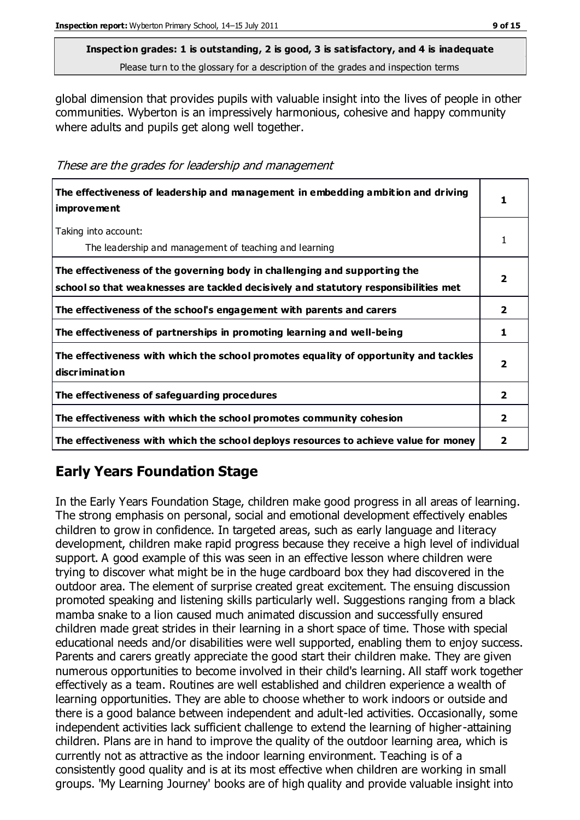global dimension that provides pupils with valuable insight into the lives of people in other communities. Wyberton is an impressively harmonious, cohesive and happy community where adults and pupils get along well together.

These are the grades for leadership and management

| The effectiveness of leadership and management in embedding ambition and driving<br>improvement                                                                  | 1                       |
|------------------------------------------------------------------------------------------------------------------------------------------------------------------|-------------------------|
| Taking into account:<br>The leadership and management of teaching and learning                                                                                   | 1                       |
| The effectiveness of the governing body in challenging and supporting the<br>school so that weaknesses are tackled decisively and statutory responsibilities met | $\overline{\mathbf{2}}$ |
| The effectiveness of the school's engagement with parents and carers                                                                                             | $\mathbf{2}$            |
| The effectiveness of partnerships in promoting learning and well-being                                                                                           | 1                       |
| The effectiveness with which the school promotes equality of opportunity and tackles<br>discrimination                                                           | $\overline{\mathbf{2}}$ |
| The effectiveness of safeguarding procedures                                                                                                                     | $\overline{2}$          |
| The effectiveness with which the school promotes community cohesion                                                                                              | $\mathbf{2}$            |
| The effectiveness with which the school deploys resources to achieve value for money                                                                             | 2                       |

## **Early Years Foundation Stage**

In the Early Years Foundation Stage, children make good progress in all areas of learning. The strong emphasis on personal, social and emotional development effectively enables children to grow in confidence. In targeted areas, such as early language and literacy development, children make rapid progress because they receive a high level of individual support. A good example of this was seen in an effective lesson where children were trying to discover what might be in the huge cardboard box they had discovered in the outdoor area. The element of surprise created great excitement. The ensuing discussion promoted speaking and listening skills particularly well. Suggestions ranging from a black mamba snake to a lion caused much animated discussion and successfully ensured children made great strides in their learning in a short space of time. Those with special educational needs and/or disabilities were well supported, enabling them to enjoy success. Parents and carers greatly appreciate the good start their children make. They are given numerous opportunities to become involved in their child's learning. All staff work together effectively as a team. Routines are well established and children experience a wealth of learning opportunities. They are able to choose whether to work indoors or outside and there is a good balance between independent and adult-led activities. Occasionally, some independent activities lack sufficient challenge to extend the learning of higher-attaining children. Plans are in hand to improve the quality of the outdoor learning area, which is currently not as attractive as the indoor learning environment. Teaching is of a consistently good quality and is at its most effective when children are working in small groups. 'My Learning Journey' books are of high quality and provide valuable insight into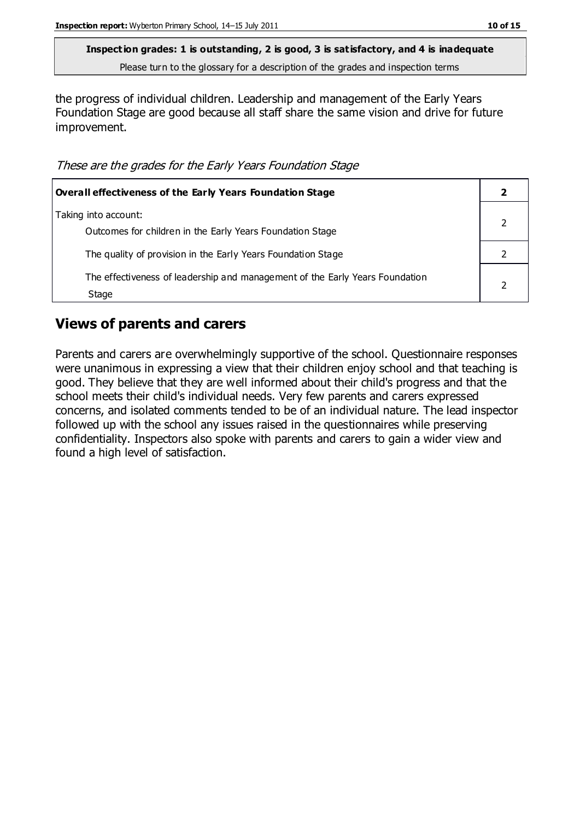the progress of individual children. Leadership and management of the Early Years Foundation Stage are good because all staff share the same vision and drive for future improvement.

These are the grades for the Early Years Foundation Stage

| Overall effectiveness of the Early Years Foundation Stage                             |  |
|---------------------------------------------------------------------------------------|--|
| Taking into account:<br>Outcomes for children in the Early Years Foundation Stage     |  |
| The quality of provision in the Early Years Foundation Stage                          |  |
| The effectiveness of leadership and management of the Early Years Foundation<br>Stage |  |

#### **Views of parents and carers**

Parents and carers are overwhelmingly supportive of the school. Questionnaire responses were unanimous in expressing a view that their children enjoy school and that teaching is good. They believe that they are well informed about their child's progress and that the school meets their child's individual needs. Very few parents and carers expressed concerns, and isolated comments tended to be of an individual nature. The lead inspector followed up with the school any issues raised in the questionnaires while preserving confidentiality. Inspectors also spoke with parents and carers to gain a wider view and found a high level of satisfaction.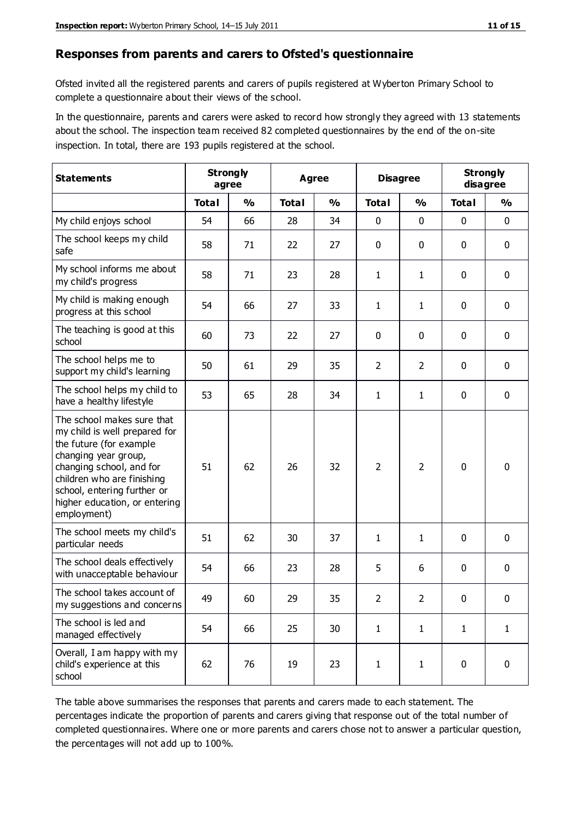#### **Responses from parents and carers to Ofsted's questionnaire**

Ofsted invited all the registered parents and carers of pupils registered at Wyberton Primary School to complete a questionnaire about their views of the school.

In the questionnaire, parents and carers were asked to record how strongly they agreed with 13 statements about the school. The inspection team received 82 completed questionnaires by the end of the on-site inspection. In total, there are 193 pupils registered at the school.

| <b>Statements</b>                                                                                                                                                                                                                                       |              | <b>Strongly</b><br>agree |              | <b>Agree</b>  |                | <b>Disagree</b> |              | <b>Strongly</b><br>disagree |  |
|---------------------------------------------------------------------------------------------------------------------------------------------------------------------------------------------------------------------------------------------------------|--------------|--------------------------|--------------|---------------|----------------|-----------------|--------------|-----------------------------|--|
|                                                                                                                                                                                                                                                         | <b>Total</b> | $\frac{0}{0}$            | <b>Total</b> | $\frac{0}{0}$ | <b>Total</b>   | $\frac{0}{0}$   | <b>Total</b> | %                           |  |
| My child enjoys school                                                                                                                                                                                                                                  | 54           | 66                       | 28           | 34            | 0              | 0               | $\mathbf 0$  | $\mathbf 0$                 |  |
| The school keeps my child<br>safe                                                                                                                                                                                                                       | 58           | 71                       | 22           | 27            | 0              | 0               | $\mathbf 0$  | $\mathbf 0$                 |  |
| My school informs me about<br>my child's progress                                                                                                                                                                                                       | 58           | 71                       | 23           | 28            | 1              | 1               | 0            | $\mathbf 0$                 |  |
| My child is making enough<br>progress at this school                                                                                                                                                                                                    | 54           | 66                       | 27           | 33            | 1              | 1               | $\mathbf 0$  | $\mathbf 0$                 |  |
| The teaching is good at this<br>school                                                                                                                                                                                                                  | 60           | 73                       | 22           | 27            | 0              | 0               | $\mathbf 0$  | $\mathbf 0$                 |  |
| The school helps me to<br>support my child's learning                                                                                                                                                                                                   | 50           | 61                       | 29           | 35            | $\overline{2}$ | $\overline{2}$  | $\mathbf 0$  | $\mathbf 0$                 |  |
| The school helps my child to<br>have a healthy lifestyle                                                                                                                                                                                                | 53           | 65                       | 28           | 34            | $\mathbf{1}$   | $\mathbf{1}$    | $\mathbf 0$  | $\mathbf 0$                 |  |
| The school makes sure that<br>my child is well prepared for<br>the future (for example<br>changing year group,<br>changing school, and for<br>children who are finishing<br>school, entering further or<br>higher education, or entering<br>employment) | 51           | 62                       | 26           | 32            | $\overline{2}$ | $\overline{2}$  | $\mathbf 0$  | $\mathbf 0$                 |  |
| The school meets my child's<br>particular needs                                                                                                                                                                                                         | 51           | 62                       | 30           | 37            | 1              | 1               | $\mathbf 0$  | $\mathbf 0$                 |  |
| The school deals effectively<br>with unacceptable behaviour                                                                                                                                                                                             | 54           | 66                       | 23           | 28            | 5              | 6               | 0            | $\mathbf 0$                 |  |
| The school takes account of<br>my suggestions and concerns                                                                                                                                                                                              | 49           | 60                       | 29           | 35            | $\overline{2}$ | 2               | 0            | 0                           |  |
| The school is led and<br>managed effectively                                                                                                                                                                                                            | 54           | 66                       | 25           | 30            | $\mathbf{1}$   | $\mathbf{1}$    | $\mathbf{1}$ | $\mathbf{1}$                |  |
| Overall, I am happy with my<br>child's experience at this<br>school                                                                                                                                                                                     | 62           | 76                       | 19           | 23            | $\mathbf{1}$   | $\mathbf{1}$    | $\mathbf 0$  | $\mathbf 0$                 |  |

The table above summarises the responses that parents and carers made to each statement. The percentages indicate the proportion of parents and carers giving that response out of the total number of completed questionnaires. Where one or more parents and carers chose not to answer a particular question, the percentages will not add up to 100%.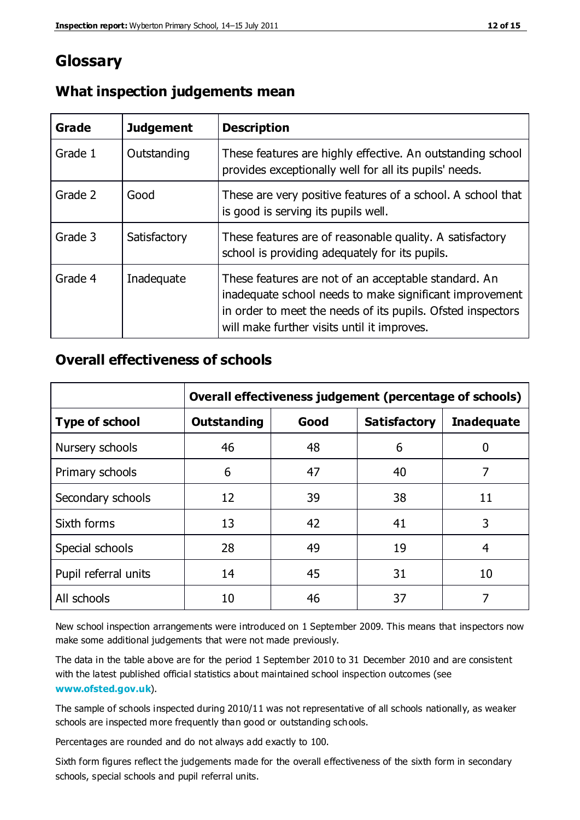## **Glossary**

| Grade   | <b>Judgement</b> | <b>Description</b>                                                                                                                                                                                                            |
|---------|------------------|-------------------------------------------------------------------------------------------------------------------------------------------------------------------------------------------------------------------------------|
| Grade 1 | Outstanding      | These features are highly effective. An outstanding school<br>provides exceptionally well for all its pupils' needs.                                                                                                          |
| Grade 2 | Good             | These are very positive features of a school. A school that<br>is good is serving its pupils well.                                                                                                                            |
| Grade 3 | Satisfactory     | These features are of reasonable quality. A satisfactory<br>school is providing adequately for its pupils.                                                                                                                    |
| Grade 4 | Inadequate       | These features are not of an acceptable standard. An<br>inadequate school needs to make significant improvement<br>in order to meet the needs of its pupils. Ofsted inspectors<br>will make further visits until it improves. |

#### **What inspection judgements mean**

#### **Overall effectiveness of schools**

|                       | Overall effectiveness judgement (percentage of schools) |      |                     |                   |
|-----------------------|---------------------------------------------------------|------|---------------------|-------------------|
| <b>Type of school</b> | <b>Outstanding</b>                                      | Good | <b>Satisfactory</b> | <b>Inadequate</b> |
| Nursery schools       | 46                                                      | 48   | 6                   |                   |
| Primary schools       | 6                                                       | 47   | 40                  | 7                 |
| Secondary schools     | 12                                                      | 39   | 38                  | 11                |
| Sixth forms           | 13                                                      | 42   | 41                  | 3                 |
| Special schools       | 28                                                      | 49   | 19                  | 4                 |
| Pupil referral units  | 14                                                      | 45   | 31                  | 10                |
| All schools           | 10                                                      | 46   | 37                  |                   |

New school inspection arrangements were introduced on 1 September 2009. This means that inspectors now make some additional judgements that were not made previously.

The data in the table above are for the period 1 September 2010 to 31 December 2010 and are consistent with the latest published official statistics about maintained school inspection outcomes (see **[www.ofsted.gov.uk](http://www.ofsted.gov.uk/)**).

The sample of schools inspected during 2010/11 was not representative of all schools nationally, as weaker schools are inspected more frequently than good or outstanding schools.

Percentages are rounded and do not always add exactly to 100.

Sixth form figures reflect the judgements made for the overall effectiveness of the sixth form in secondary schools, special schools and pupil referral units.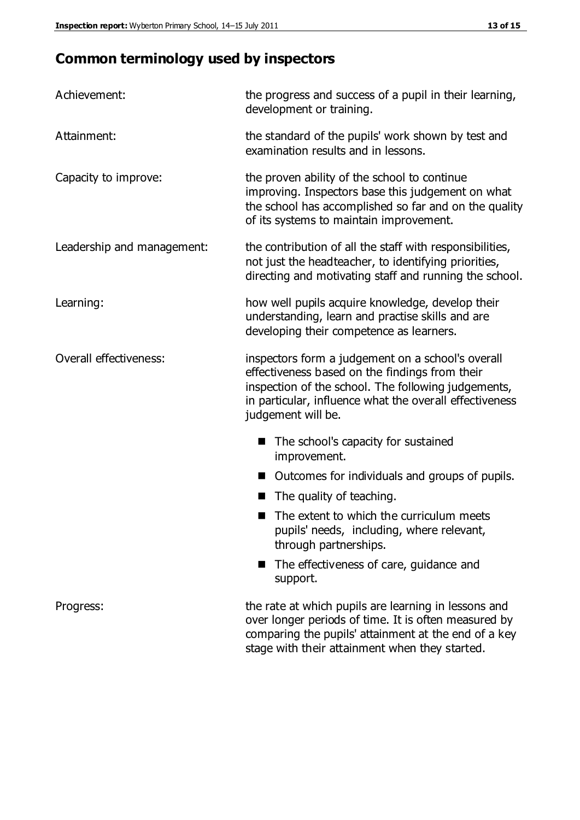## **Common terminology used by inspectors**

| Achievement:               | the progress and success of a pupil in their learning,<br>development or training.                                                                                                                                                          |
|----------------------------|---------------------------------------------------------------------------------------------------------------------------------------------------------------------------------------------------------------------------------------------|
| Attainment:                | the standard of the pupils' work shown by test and<br>examination results and in lessons.                                                                                                                                                   |
| Capacity to improve:       | the proven ability of the school to continue<br>improving. Inspectors base this judgement on what<br>the school has accomplished so far and on the quality<br>of its systems to maintain improvement.                                       |
| Leadership and management: | the contribution of all the staff with responsibilities,<br>not just the headteacher, to identifying priorities,<br>directing and motivating staff and running the school.                                                                  |
| Learning:                  | how well pupils acquire knowledge, develop their<br>understanding, learn and practise skills and are<br>developing their competence as learners.                                                                                            |
| Overall effectiveness:     | inspectors form a judgement on a school's overall<br>effectiveness based on the findings from their<br>inspection of the school. The following judgements,<br>in particular, influence what the overall effectiveness<br>judgement will be. |
|                            | The school's capacity for sustained<br>improvement.                                                                                                                                                                                         |
|                            | Outcomes for individuals and groups of pupils.                                                                                                                                                                                              |
|                            | The quality of teaching.                                                                                                                                                                                                                    |
|                            | The extent to which the curriculum meets<br>pupils' needs, including, where relevant,<br>through partnerships.                                                                                                                              |
|                            | The effectiveness of care, guidance and<br>support.                                                                                                                                                                                         |
| Progress:                  | the rate at which pupils are learning in lessons and<br>over longer periods of time. It is often measured by<br>comparing the pupils' attainment at the end of a key                                                                        |

stage with their attainment when they started.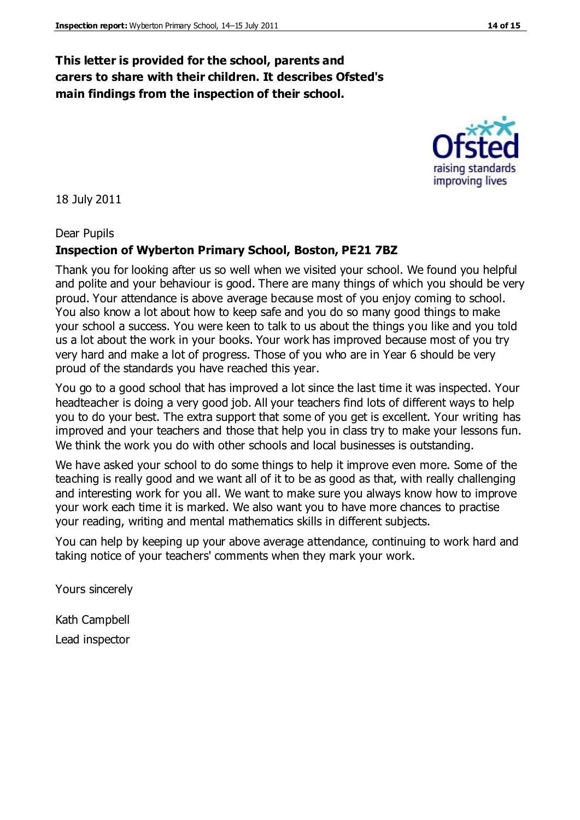#### **This letter is provided for the school, parents and carers to share with their children. It describes Ofsted's main findings from the inspection of their school.**

18 July 2011

Dear Pupils

#### **Inspection of Wyberton Primary School, Boston, PE21 7BZ**

Thank you for looking after us so well when we visited your school. We found you helpful and polite and your behaviour is good. There are many things of which you should be very proud. Your attendance is above average because most of you enjoy coming to school. You also know a lot about how to keep safe and you do so many good things to make your school a success. You were keen to talk to us about the things you like and you told us a lot about the work in your books. Your work has improved because most of you try very hard and make a lot of progress. Those of you who are in Year 6 should be very proud of the standards you have reached this year.

You go to a good school that has improved a lot since the last time it was inspected. Your headteacher is doing a very good job. All your teachers find lots of different ways to help you to do your best. The extra support that some of you get is excellent. Your writing has improved and your teachers and those that help you in class try to make your lessons fun. We think the work you do with other schools and local businesses is outstanding.

We have asked your school to do some things to help it improve even more. Some of the teaching is really good and we want all of it to be as good as that, with really challenging and interesting work for you all. We want to make sure you always know how to improve your work each time it is marked. We also want you to have more chances to practise your reading, writing and mental mathematics skills in different subjects.

You can help by keeping up your above average attendance, continuing to work hard and taking notice of your teachers' comments when they mark your work.

Yours sincerely

Kath Campbell Lead inspector